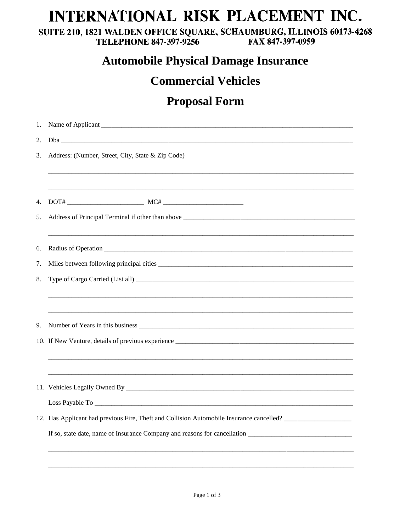## INTERNATIONAL RISK PLACEMENT INC.

SUITE 210, 1821 WALDEN OFFICE SQUARE, SCHAUMBURG, ILLINOIS 60173-4268 **TELEPHONE 847-397-9256** FAX 847-397-0959

### **Automobile Physical Damage Insurance**

#### **Commercial Vehicles**

### **Proposal Form**

| 1. |                                                                                          |  |  |  |  |  |
|----|------------------------------------------------------------------------------------------|--|--|--|--|--|
| 2. |                                                                                          |  |  |  |  |  |
| 3. | Address: (Number, Street, City, State & Zip Code)                                        |  |  |  |  |  |
|    |                                                                                          |  |  |  |  |  |
| 4. |                                                                                          |  |  |  |  |  |
| 5. |                                                                                          |  |  |  |  |  |
| 6. |                                                                                          |  |  |  |  |  |
| 7. |                                                                                          |  |  |  |  |  |
| 8. |                                                                                          |  |  |  |  |  |
|    |                                                                                          |  |  |  |  |  |
|    |                                                                                          |  |  |  |  |  |
| 9. |                                                                                          |  |  |  |  |  |
|    |                                                                                          |  |  |  |  |  |
|    |                                                                                          |  |  |  |  |  |
|    |                                                                                          |  |  |  |  |  |
|    |                                                                                          |  |  |  |  |  |
|    |                                                                                          |  |  |  |  |  |
|    | 12. Has Applicant had previous Fire, Theft and Collision Automobile Insurance cancelled? |  |  |  |  |  |
|    |                                                                                          |  |  |  |  |  |
|    |                                                                                          |  |  |  |  |  |
|    |                                                                                          |  |  |  |  |  |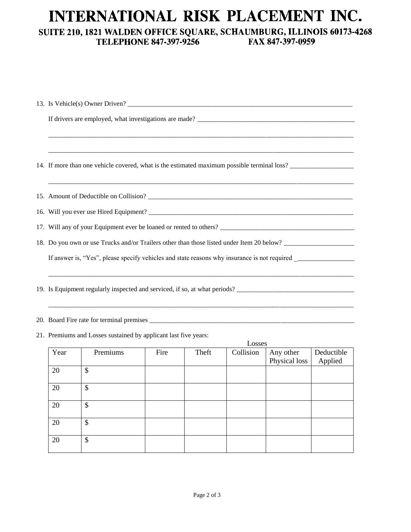## INTERNATIONAL RISK PLACEMENT INC.

# SUITE 210, 1821 WALDEN OFFICE SQUARE, SCHAUMBURG, ILLINOIS 60173-4268<br>TELEPHONE 847-397-9256 FAX 847-397-0959

|                                                                                           | 13. Is Vehicle(s) Owner Driven?                                                             |                                                                                                                |      |       |           |                            |                       |  |
|-------------------------------------------------------------------------------------------|---------------------------------------------------------------------------------------------|----------------------------------------------------------------------------------------------------------------|------|-------|-----------|----------------------------|-----------------------|--|
|                                                                                           | If drivers are employed, what investigations are made?                                      |                                                                                                                |      |       |           |                            |                       |  |
|                                                                                           |                                                                                             |                                                                                                                |      |       |           |                            |                       |  |
|                                                                                           | 14. If more than one vehicle covered, what is the estimated maximum possible terminal loss? |                                                                                                                |      |       |           |                            |                       |  |
|                                                                                           | 15. Amount of Deductible on Collision?                                                      |                                                                                                                |      |       |           |                            |                       |  |
|                                                                                           |                                                                                             |                                                                                                                |      |       |           |                            |                       |  |
|                                                                                           |                                                                                             |                                                                                                                |      |       |           |                            |                       |  |
| 18. Do you own or use Trucks and/or Trailers other than those listed under Item 20 below? |                                                                                             |                                                                                                                |      |       |           |                            |                       |  |
|                                                                                           |                                                                                             | If answer is, "Yes", please specify vehicles and state reasons why insurance is not required _________________ |      |       |           |                            |                       |  |
|                                                                                           | 19. Is Equipment regularly inspected and serviced, if so, at what periods?                  |                                                                                                                |      |       |           |                            |                       |  |
|                                                                                           |                                                                                             |                                                                                                                |      |       |           |                            |                       |  |
|                                                                                           | 21. Premiums and Losses sustained by applicant last five years:<br>Losses                   |                                                                                                                |      |       |           |                            |                       |  |
|                                                                                           | Year                                                                                        | Premiums                                                                                                       | Fire | Theft | Collision | Any other<br>Physical loss | Deductible<br>Applied |  |
|                                                                                           | 20                                                                                          | $\mathcal{S}$                                                                                                  |      |       |           |                            |                       |  |
|                                                                                           | 20                                                                                          | $\overline{\mathbb{S}}$                                                                                        |      |       |           |                            |                       |  |
|                                                                                           | 20                                                                                          | $\mathcal{S}$                                                                                                  |      |       |           |                            |                       |  |
|                                                                                           | 20                                                                                          | $\mathcal{S}$                                                                                                  |      |       |           |                            |                       |  |
|                                                                                           | 20                                                                                          | \$                                                                                                             |      |       |           |                            |                       |  |